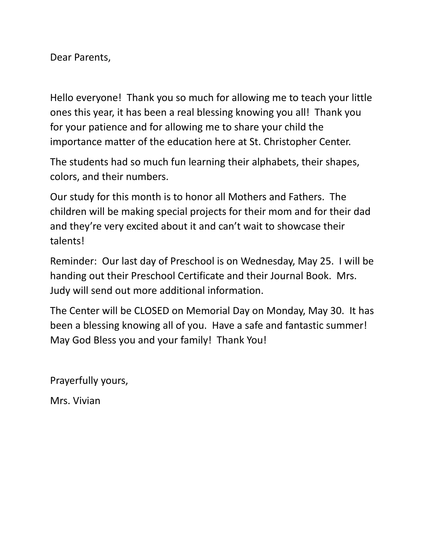Dear Parents,

Hello everyone! Thank you so much for allowing me to teach your little ones this year, it has been a real blessing knowing you all! Thank you for your patience and for allowing me to share your child the importance matter of the education here at St. Christopher Center.

The students had so much fun learning their alphabets, their shapes, colors, and their numbers.

Our study for this month is to honor all Mothers and Fathers. The children will be making special projects for their mom and for their dad and they're very excited about it and can't wait to showcase their talents!

Reminder: Our last day of Preschool is on Wednesday, May 25. I will be handing out their Preschool Certificate and their Journal Book. Mrs. Judy will send out more additional information.

The Center will be CLOSED on Memorial Day on Monday, May 30. It has been a blessing knowing all of you. Have a safe and fantastic summer! May God Bless you and your family! Thank You!

Prayerfully yours,

Mrs. Vivian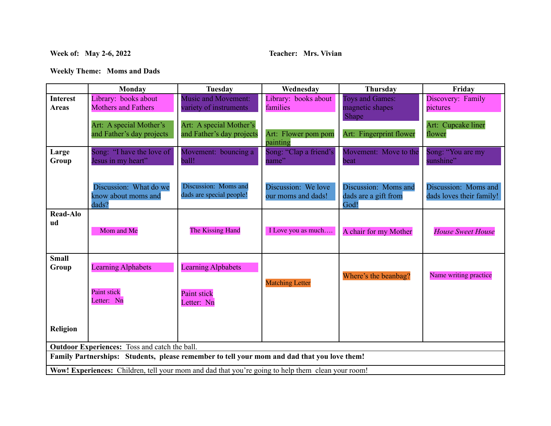## **Week of: May 2-6, 2022 Teacher: Mrs. Vivian**

**Weekly Theme: Moms and Dads**

|                                                                                                          | Monday                                                 | Tuesday                                              | Wednesday                                 | Thursday                                             | Friday                                           |  |  |
|----------------------------------------------------------------------------------------------------------|--------------------------------------------------------|------------------------------------------------------|-------------------------------------------|------------------------------------------------------|--------------------------------------------------|--|--|
| <b>Interest</b>                                                                                          | Library: books about                                   | <b>Music and Movement:</b>                           | Library: books about                      | <b>Toys and Games:</b>                               | Discovery: Family                                |  |  |
| <b>Areas</b>                                                                                             | <b>Mothers and Fathers</b>                             | variety of instruments                               | families                                  | magnetic shapes                                      | pictures                                         |  |  |
|                                                                                                          | Art: A special Mother's<br>and Father's day projects   | Art: A special Mother's<br>and Father's day projects | Art: Flower pom pom<br>painting           | Shape<br>Art: Fingerprint flower                     | Art: Cupcake liner<br>flower                     |  |  |
| Large                                                                                                    | Song: "I have the love of                              | Movement: bouncing a                                 | Song: "Clap a friend's                    | Movement: Move to the                                | Song: "You are my                                |  |  |
| Group                                                                                                    | Jesus in my heart"                                     | ball!                                                | name"                                     | beat                                                 | sunshine"                                        |  |  |
|                                                                                                          | Discussion: What do we<br>know about moms and<br>dads? | Discussion: Moms and<br>dads are special people!     | Discussion: We love<br>our moms and dads! | Discussion: Moms and<br>dads are a gift from<br>God! | Discussion: Moms and<br>dads loves their family! |  |  |
| <b>Read-Alo</b>                                                                                          |                                                        |                                                      |                                           |                                                      |                                                  |  |  |
| ud                                                                                                       | Mom and Me                                             | The Kissing Hand                                     | I Love you as much                        | A chair for my Mother                                | <b>House Sweet House</b>                         |  |  |
| <b>Small</b>                                                                                             |                                                        |                                                      |                                           |                                                      |                                                  |  |  |
| Group                                                                                                    | <b>Learning Alphabets</b>                              | <b>Learning Alpbabets</b>                            | <b>Matching Letter</b>                    | Where's the beanbag?                                 | Name writing practice                            |  |  |
|                                                                                                          | Paint stick<br>Letter: Nn                              | <b>Paint stick</b><br>Letter: Nn                     |                                           |                                                      |                                                  |  |  |
| Religion                                                                                                 |                                                        |                                                      |                                           |                                                      |                                                  |  |  |
| <b>Outdoor Experiences:</b> Toss and catch the ball.                                                     |                                                        |                                                      |                                           |                                                      |                                                  |  |  |
| Family Partnerships: Students, please remember to tell your mom and dad that you love them!              |                                                        |                                                      |                                           |                                                      |                                                  |  |  |
| <b>Wow! Experiences:</b> Children, tell your mom and dad that you're going to help them clean your room! |                                                        |                                                      |                                           |                                                      |                                                  |  |  |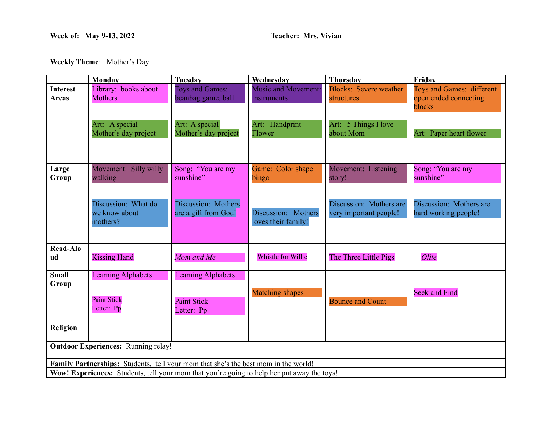## **Week of: May 9-13, 2022 Teacher: Mrs. Vivian**

**Weekly Theme**: Mother's Day

|                                                                                                   | Monday                                                        | <b>Tuesday</b>                                                | Wednesday                                  | <b>Thursday</b>                                   | Friday                                                       |  |  |
|---------------------------------------------------------------------------------------------------|---------------------------------------------------------------|---------------------------------------------------------------|--------------------------------------------|---------------------------------------------------|--------------------------------------------------------------|--|--|
| <b>Interest</b><br><b>Areas</b>                                                                   | Library: books about<br><b>Mothers</b>                        | Toys and Games:<br>beanbag game, ball                         | <b>Music and Movement:</b><br>instruments  | <b>Blocks: Severe weather</b><br>structures       | Toys and Games: different<br>open ended connecting<br>blocks |  |  |
|                                                                                                   | Art: A special<br>Mother's day project                        | Art: A special<br>Mother's day project                        | Art: Handprint<br>Flower                   | Art: 5 Things I love<br>about Mom                 | Art: Paper heart flower                                      |  |  |
| Large<br>Group                                                                                    | Movement: Silly willy<br>walking                              | Song: "You are my<br>sunshine"                                | Game: Color shape<br>bingo                 | Movement: Listening<br>story!                     | Song: "You are my<br>sunshine"                               |  |  |
|                                                                                                   | Discussion: What do<br>we know about<br>mothers?              | Discussion: Mothers<br>are a gift from God!                   | Discussion: Mothers<br>loves their family! | Discussion: Mothers are<br>very important people! | Discussion: Mothers are<br>hard working people!              |  |  |
| <b>Read-Alo</b><br>ud                                                                             | <b>Kissing Hand</b>                                           | Mom and Me                                                    | Whistle for Willie                         | The Three Little Pigs                             | Ollie                                                        |  |  |
| <b>Small</b><br>Group                                                                             | <b>Learning Alphabets</b><br><b>Paint Stick</b><br>Letter: Pp | <b>Learning Alphabets</b><br><b>Paint Stick</b><br>Letter: Pp | <b>Matching shapes</b>                     | <b>Bounce and Count</b>                           | <b>Seek and Find</b>                                         |  |  |
| Religion                                                                                          |                                                               |                                                               |                                            |                                                   |                                                              |  |  |
| <b>Outdoor Experiences: Running relay!</b>                                                        |                                                               |                                                               |                                            |                                                   |                                                              |  |  |
| Family Partnerships: Students, tell your mom that she's the best mom in the world!                |                                                               |                                                               |                                            |                                                   |                                                              |  |  |
| <b>Wow! Experiences:</b> Students, tell your mom that you're going to help her put away the toys! |                                                               |                                                               |                                            |                                                   |                                                              |  |  |